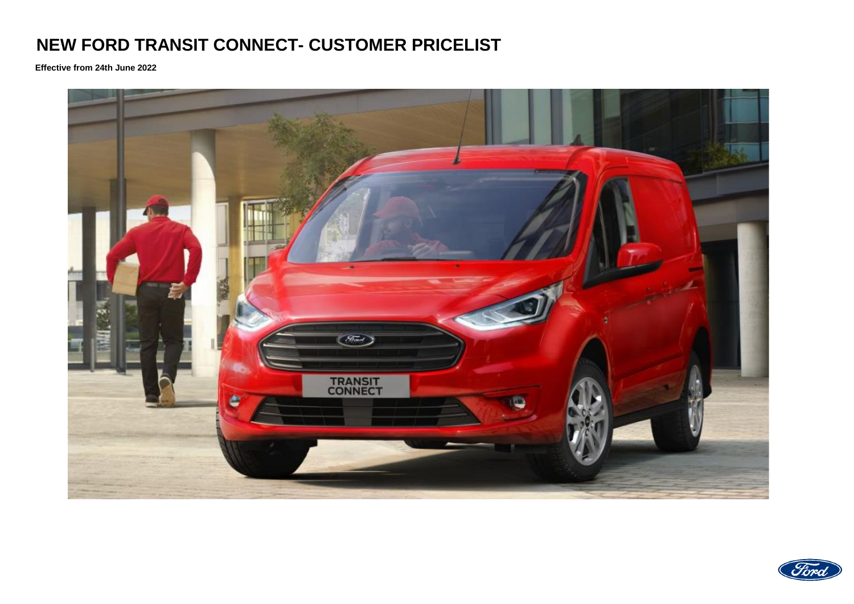## **NEW FORD TRANSIT CONNECT- CUSTOMER PRICELIST**

**Effective from 24th June 2022**



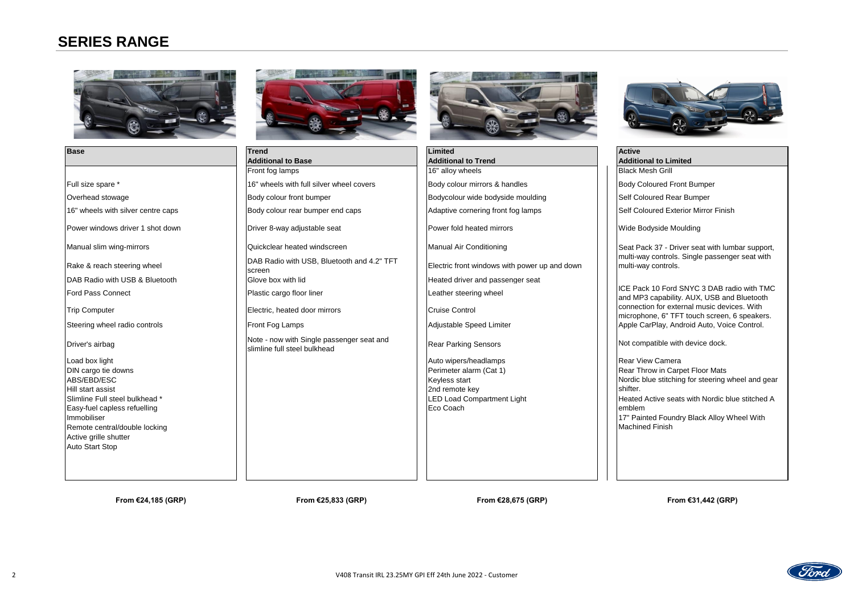### **SERIES RANGE**





| <b>Base</b>                        | <b>Trend</b>                                                              | <b>Limited</b>                                | <b>Active</b>                                                             |
|------------------------------------|---------------------------------------------------------------------------|-----------------------------------------------|---------------------------------------------------------------------------|
|                                    | <b>Additional to Base</b>                                                 | <b>Additional to Trend</b>                    | <b>Additional to Limited</b>                                              |
|                                    | Front fog lamps                                                           | 16" alloy wheels                              | <b>Black Mesh Grill</b>                                                   |
| Full size spare *                  | 16" wheels with full silver wheel covers                                  | Body colour mirrors & handles                 | <b>Body Coloured Front Bumper</b>                                         |
| Overhead stowage                   | Body colour front bumper                                                  | Bodycolour wide bodyside moulding             | Self Coloured Rear Bumper                                                 |
| 16" wheels with silver centre caps | Body colour rear bumper end caps                                          | Adaptive cornering front fog lamps            | Self Coloured Exterior Mirror Finish                                      |
| Power windows driver 1 shot down   | Driver 8-way adjustable seat                                              | Power fold heated mirrors                     | Wide Bodyside Moulding                                                    |
| Manual slim wing-mirrors           | Quickclear heated windscreen                                              | Manual Air Conditioning                       | Seat Pack 37 - Driver seat with lum                                       |
| Rake & reach steering wheel        | DAB Radio with USB, Bluetooth and 4.2" TFT<br>screen                      | Electric front windows with power up and down | multi-way controls. Single passenge<br>multi-way controls.                |
| DAB Radio with USB & Bluetooth     | Glove box with lid                                                        | Heated driver and passenger seat              |                                                                           |
| <b>Ford Pass Connect</b>           | Plastic cargo floor liner                                                 | Leather steering wheel                        | ICE Pack 10 Ford SNYC 3 DAB rad<br>and MP3 capability. AUX, USB and       |
| <b>Trip Computer</b>               | Electric, heated door mirrors                                             | <b>Cruise Control</b>                         | connection for external music devic<br>microphone, 6" TFT touch screen, 6 |
| Steering wheel radio controls      | Front Fog Lamps                                                           | Adjustable Speed Limiter                      | Apple CarPlay, Android Auto, Voice                                        |
| Driver's airbag                    | Note - now with Single passenger seat and<br>slimline full steel bulkhead | <b>Rear Parking Sensors</b>                   | Not compatible with device dock.                                          |
| Load box light                     |                                                                           | Auto wipers/headlamps                         | <b>Rear View Camera</b>                                                   |
| DIN cargo tie downs                |                                                                           | Perimeter alarm (Cat 1)                       | Rear Throw in Carpet Floor Mats                                           |
| ABS/EBD/ESC                        |                                                                           | Keyless start                                 | Nordic blue stitching for steering wh                                     |
| Hill start assist                  |                                                                           | 2nd remote key                                | shifter.                                                                  |
| Slimline Full steel bulkhead *     |                                                                           | <b>LED Load Compartment Light</b>             | Heated Active seats with Nordic blu                                       |
| Easy-fuel capless refuelling       |                                                                           | Eco Coach                                     | emblem                                                                    |

ABS/EBD/ESC Newsletter and the start of the start of the start of the start of the start of the start of the start  $\,$ Hill start assist Slimline Full steel bulkhead \* Easy-fuel capless refuelling Immobiliser Remote central/double locking Active grille shutter Auto Start Stop



ICE Pack 10 Ford SNYC 3 DAB radio with TMC and MP3 capability. AUX, USB and Bluetooth connection for external music devices. With microphone, 6" TFT touch screen, 6 speakers. Apple CarPlay, Android Auto, Voice Control.

**From €24,185 (GRP) From €25,833 (GRP) From €28,675 (GRP)** 

Seat Pack 37 - Driver seat with lumbar support, multi-way controls. Single passenger seat with multi-way controls.

**From €31,442 (GRP)**



Nordic blue stitching for steering wheel and gear shifter. Heated Active seats with Nordic blue stitched A emblem 17" Painted Foundry Black Alloy Wheel With Machined Finish

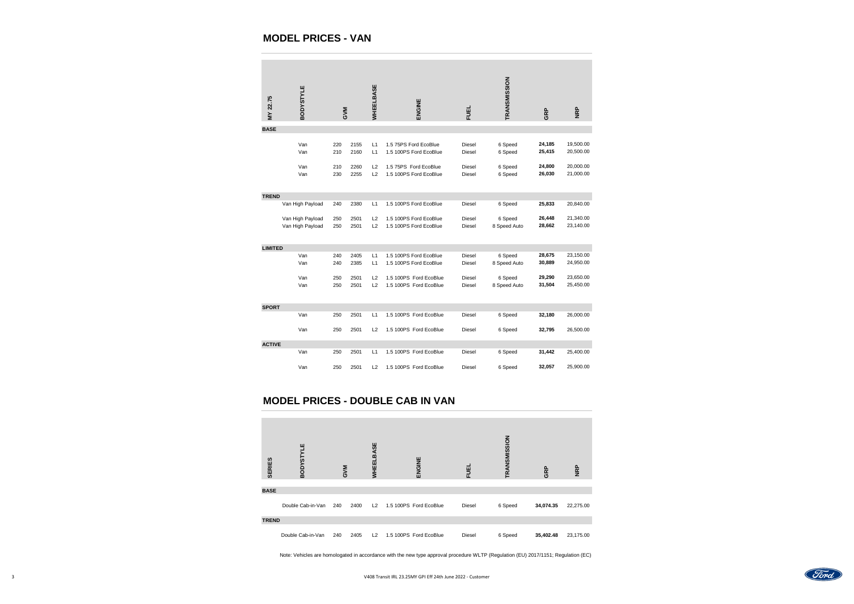## **MODEL PRICES - VAN**

| MY 22.75                                  | <b>BODYSTYLE</b>                     |            | <b>AVP</b>                      | <b>WHEELBASE</b> | ENGINE                                                                                                                             | <b>FUEL</b>             | TRANSMISSION            | GRP                                       | <b>NRP</b>             |
|-------------------------------------------|--------------------------------------|------------|---------------------------------|------------------|------------------------------------------------------------------------------------------------------------------------------------|-------------------------|-------------------------|-------------------------------------------|------------------------|
| <b>BASE</b>                               |                                      |            |                                 |                  |                                                                                                                                    |                         |                         |                                           |                        |
|                                           | Van<br>Van                           | 220<br>210 | 2155<br>2160                    | L1<br>L1         | 1.5 75PS Ford EcoBlue<br>1.5 100PS Ford EcoBlue                                                                                    | Diesel<br>Diesel        | 6 Speed<br>6 Speed      | 24,185<br>25,415                          | 19,500.00<br>20,500.00 |
|                                           | Van<br>Van                           | 210<br>230 | 2260<br>2255                    | L2<br>L2         | 1.5 75PS Ford EcoBlue<br>1.5 100PS Ford EcoBlue                                                                                    | Diesel<br>Diesel        | 6 Speed<br>6 Speed      | 24,800<br>26,030                          | 20,000.00<br>21,000.00 |
|                                           |                                      |            |                                 |                  |                                                                                                                                    |                         |                         |                                           |                        |
| <b>TREND</b>                              | Van High Payload                     | 240        | 2380                            | L1               | 1.5 100PS Ford EcoBlue                                                                                                             | Diesel                  | 6 Speed                 | 25,833                                    | 20,840.00              |
|                                           | Van High Payload<br>Van High Payload | 250<br>250 | 2501<br>2501                    | L2<br>L2         | 1.5 100PS Ford EcoBlue<br>1.5 100PS Ford EcoBlue                                                                                   | Diesel<br>Diesel        | 6 Speed<br>8 Speed Auto | 26,448<br>28,662                          | 21,340.00<br>23,140.00 |
|                                           |                                      |            |                                 |                  |                                                                                                                                    |                         |                         |                                           |                        |
| <b>LIMITED</b>                            | Van<br>Van                           | 240<br>240 | 2405<br>2385                    | L1               | 1.5 100PS Ford EcoBlue<br>L1 1.5 100PS Ford EcoBlue                                                                                | Diesel<br>Diesel        | 6 Speed<br>8 Speed Auto | 28,675<br>30,889                          | 23,150.00<br>24,950.00 |
|                                           | Van<br>Van                           | 250<br>250 | 2501<br>2501                    | L2<br>L2         | 1.5 100PS Ford EcoBlue<br>1.5 100PS Ford EcoBlue                                                                                   | Diesel<br><b>Diesel</b> | 6 Speed<br>8 Speed Auto | 29,290<br>31,504                          | 23,650.00<br>25,450.00 |
| <b>SPORT</b>                              |                                      |            |                                 |                  |                                                                                                                                    |                         |                         |                                           |                        |
|                                           | Van                                  | 250        | 2501                            | L1               | 1.5 100PS Ford EcoBlue                                                                                                             | Diesel                  | 6 Speed                 | 32,180                                    | 26,000.00              |
|                                           | Van                                  | 250        | 2501                            | L2               | 1.5 100PS Ford EcoBlue                                                                                                             | Diesel                  | 6 Speed                 | 32,795                                    | 26,500.00              |
| <b>ACTIVE</b>                             | Van                                  | 250        | 2501                            | L1               | 1.5 100PS Ford EcoBlue                                                                                                             | Diesel                  | 6 Speed                 | 31,442                                    | 25,400.00              |
|                                           | Van                                  | 250        | 2501                            | L2               | 1.5 100PS Ford EcoBlue                                                                                                             | Diesel                  | 6 Speed                 | 32,057                                    | 25,900.00              |
|                                           |                                      |            |                                 |                  |                                                                                                                                    |                         |                         |                                           |                        |
|                                           |                                      |            |                                 |                  | <b>MODEL PRICES - DOUBLE CAB IN VAN</b>                                                                                            |                         |                         |                                           |                        |
|                                           |                                      |            |                                 |                  |                                                                                                                                    |                         |                         |                                           |                        |
|                                           | <b>ODYSTYLE</b>                      |            |                                 | ELBASE           |                                                                                                                                    |                         | SMISSION                |                                           |                        |
| ERIES<br>$\overline{\boldsymbol{\omega}}$ | $\mathbf{\bar{m}}$                   |            | $\geq$<br>$\boldsymbol{\sigma}$ | 팙<br>3           | NGINE<br>画                                                                                                                         | 山<br>ū.                 | ᆮ                       | R <sub>P</sub><br>$\overline{\mathbf{C}}$ | R <sub>P</sub><br>z    |
| <b>BASE</b>                               |                                      |            |                                 |                  |                                                                                                                                    |                         |                         |                                           |                        |
|                                           | Double Cab-in-Van 240                |            | 2400                            |                  | L2 1.5 100PS Ford EcoBlue                                                                                                          | Diesel                  | 6 Speed                 | 34,074.35                                 | 22,275.00              |
| <b>TREND</b>                              | Double Cab-in-Van                    | 240        | 2405                            |                  | L2 1.5 100PS Ford EcoBlue                                                                                                          | Diesel                  | 6 Speed                 | 35,402.48                                 | 23,175.00              |
|                                           |                                      |            |                                 |                  | Note: Vehicles are homologated in accordance with the new type approval procedure WLTP (Regulation (EU) 2017/1151; Regulation (EC) |                         |                         |                                           |                        |

# **MODEL PRICES - DOUBLE CAB IN VAN**

| ヒンコリアロ      | FUEL          | TRANSMISSION | GRP       | <b>NRP</b> |
|-------------|---------------|--------------|-----------|------------|
|             |               |              |           |            |
| ord EcoBlue | <b>Diesel</b> | 6 Speed      | 34,074.35 | 22,275.00  |
|             |               |              |           |            |
| ord EcoBlue | <b>Diesel</b> | 6 Speed      | 35,402.48 | 23,175.00  |



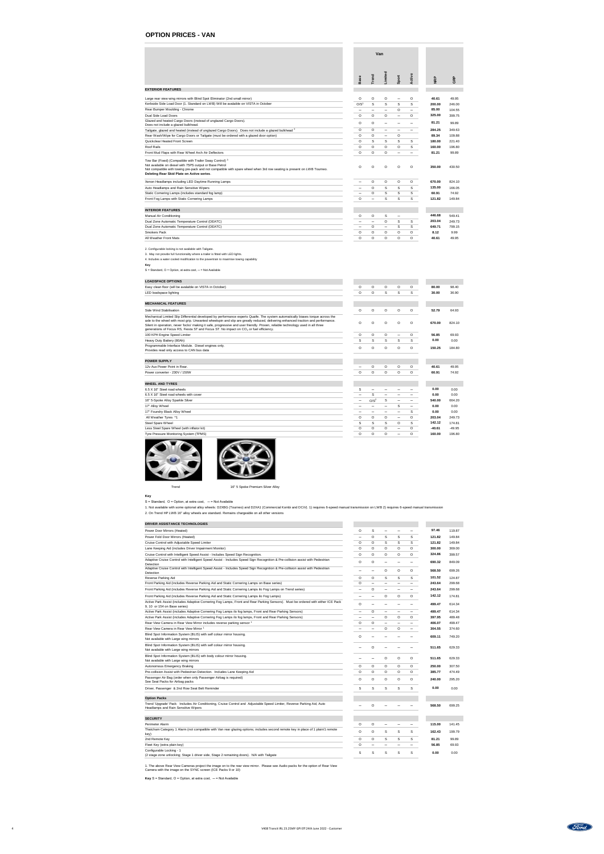2. Configurable locking is not available with Tailgate.

3. May not provide full functionality where a trailer is fitted with LED lights.

4. Includes a water cooled modification to the powertrain to maximise towing capability

### **Key**

S = Standard, O = Option, at extra cost, - = Not Available

| <b>LOADSPACE OPTIONS</b>                                                                                                                                                                                                                                                                                                                                                                                                                                                                                    |                          |                  |             |                            |         |          |          |
|-------------------------------------------------------------------------------------------------------------------------------------------------------------------------------------------------------------------------------------------------------------------------------------------------------------------------------------------------------------------------------------------------------------------------------------------------------------------------------------------------------------|--------------------------|------------------|-------------|----------------------------|---------|----------|----------|
| Easy clean floor (will be avalaible on VISTA in October)                                                                                                                                                                                                                                                                                                                                                                                                                                                    | $\circ$                  | $\circ$          | $\circ$     | $\circ$                    | $\circ$ | 80.00    | 98.40    |
| LED loadspace lighting                                                                                                                                                                                                                                                                                                                                                                                                                                                                                      | $\circ$                  | $\circ$          | S           | S                          | S       | 30.00    | 36.90    |
|                                                                                                                                                                                                                                                                                                                                                                                                                                                                                                             |                          |                  |             |                            |         |          |          |
| <b>MECHANICAL FEATURES</b>                                                                                                                                                                                                                                                                                                                                                                                                                                                                                  |                          |                  |             |                            |         |          |          |
| Side Wind Stabilisation                                                                                                                                                                                                                                                                                                                                                                                                                                                                                     | $\circ$                  | $\circ$          | $\circ$     | $\circ$                    | $\circ$ | 52.79    | 64.93    |
| Mechanical Limited Slip Differential developed by performance experts Quaife. The system automatically biases torque across the<br>axle to the wheel with most grip. Unwanted wheelspin and slip are greatly reduced, delivering enhanced traction and performance.<br>Silent in operation, never 'locks' making it safe, progressive and user friendly. Proven, reliable technology used in all three<br>generations of Focus RS, Fiesta ST and Focus ST. No impact on CO <sub>2</sub> or fuel efficiency. | $\circ$                  | $\circ$          | $\circ$     | $\circ$                    | $\circ$ | 670.00   | 824.10   |
| 100 KPH Engine Speed Limiter                                                                                                                                                                                                                                                                                                                                                                                                                                                                                | $\circ$                  | $\circ$          | $\circ$     | $\overline{\phantom{m}}$   | $\circ$ | 56.85    | 69.93    |
| Heavy Duty Battery (80Ah)                                                                                                                                                                                                                                                                                                                                                                                                                                                                                   | ${\mathsf S}$            | S                | S           | S                          | S       | 0.00     | 0.00     |
| Programmable Interface Module. Diesel engines only.<br>Provides read only access to CAN bus data                                                                                                                                                                                                                                                                                                                                                                                                            | $\circ$                  | $\circ$          | $\circ$     | $\circ$                    | $\circ$ | 150.25   | 184.80   |
|                                                                                                                                                                                                                                                                                                                                                                                                                                                                                                             |                          |                  |             |                            |         |          |          |
| <b>POWER SUPPLY</b>                                                                                                                                                                                                                                                                                                                                                                                                                                                                                         |                          |                  |             |                            |         |          |          |
| 12v Aux Power Point in Rear.                                                                                                                                                                                                                                                                                                                                                                                                                                                                                |                          | $\circ$          | $\circ$     | $\circ$                    | $\circ$ | 40.61    | 49.95    |
| Power converter - 230V / 150W                                                                                                                                                                                                                                                                                                                                                                                                                                                                               | $\circ$                  | $\mathsf O$      | $\circ$     | $\circ$                    | $\circ$ | 60.91    | 74.92    |
| <b>WHEEL AND TYRES</b>                                                                                                                                                                                                                                                                                                                                                                                                                                                                                      |                          |                  |             |                            |         |          |          |
| 6.5 X 16" Steel road wheels                                                                                                                                                                                                                                                                                                                                                                                                                                                                                 | S                        |                  |             |                            |         | 0.00     | 0.00     |
| 6.5 X 16" Steel road wheels with cover                                                                                                                                                                                                                                                                                                                                                                                                                                                                      |                          | S                |             |                            |         | 0.00     | 0.00     |
| 16" 5-Spoke Alloy Sparkle Silver                                                                                                                                                                                                                                                                                                                                                                                                                                                                            | $\overline{\phantom{m}}$ | O/S <sup>2</sup> | S           |                            |         | 540.00   | 664.20   |
| 17" Alloy Wheel                                                                                                                                                                                                                                                                                                                                                                                                                                                                                             |                          |                  |             | S                          |         | 0.00     | 0.00     |
| 17" Foundry Black Alloy Wheel                                                                                                                                                                                                                                                                                                                                                                                                                                                                               |                          |                  |             |                            | S       | 0.00     | 0.00     |
| All Weather Tyres *1                                                                                                                                                                                                                                                                                                                                                                                                                                                                                        | $\circ$                  | $\circ$          | $\circ$     | $\qquad \qquad \  \  \, -$ | $\circ$ | 203.04   | 249.73   |
| Steel Spare Wheel                                                                                                                                                                                                                                                                                                                                                                                                                                                                                           | $\mathsf{S}$             | S                | S           | $\circ$                    | S       | 142.12   | 174.81   |
| Less Steel Spare Wheel (with inflator kit)                                                                                                                                                                                                                                                                                                                                                                                                                                                                  | $\mathsf O$              | $\circ$          | $\mathsf O$ |                            | $\circ$ | $-40.61$ | $-49.95$ |
| Tyre Pressure Monitoring System (TPMS)                                                                                                                                                                                                                                                                                                                                                                                                                                                                      | $\circ$                  | $\mathsf O$      | $\mathsf O$ |                            | $\circ$ | 160.00   | 196.80   |





Trend Trend 16" 5 Spoke Premium Silver Alloy

### **Key**

 $S =$  Standard,  $O =$  Option, at extra cost,  $-$  = Not Available

|                                                                                                                                                                                                                                                                                                         |                                         |                                     | Van                                      |                                          |                                          |                          |                           |
|---------------------------------------------------------------------------------------------------------------------------------------------------------------------------------------------------------------------------------------------------------------------------------------------------------|-----------------------------------------|-------------------------------------|------------------------------------------|------------------------------------------|------------------------------------------|--------------------------|---------------------------|
|                                                                                                                                                                                                                                                                                                         | <b>Base</b>                             | Trend                               | Limited                                  | Sport                                    | Active                                   | <b>NRP</b>               | GRP                       |
| <b>EXTERIOR FEATURES</b>                                                                                                                                                                                                                                                                                |                                         |                                     |                                          |                                          |                                          |                          |                           |
| Large rear view wing mirrors with Blind Spot Eliminator (2nd small mirror)<br>Kerbside Side Load Door (1. Standard on LWB) Will be avalaible on VISTA in October<br>Rear Bumper Moulding - Chrome                                                                                                       | $\circ$<br>O/S <sup>1</sup>             | $\circ$<br>S                        | $\circ$<br>S<br>$\overline{\phantom{m}}$ | $\overline{\phantom{m}}$<br>S<br>$\circ$ | $\circ$<br>S<br>$\overline{\phantom{m}}$ | 40.61<br>200.00<br>85.00 | 49.95<br>246.00<br>104.55 |
| Dual Side Load Doors                                                                                                                                                                                                                                                                                    | $\overline{\phantom{m}}$<br>$\mathsf O$ | $\overline{\phantom{m}}$<br>$\circ$ | $\circ$                                  | $\qquad \qquad \qquad$                   | $\circ$                                  | 325.00                   | 399.75                    |
| Glazed and heated Cargo Doors (instead of unglazed Cargo Doors).<br>Does not include a glazed bulkhead.                                                                                                                                                                                                 | $\mathsf O$                             | $\mathsf O$                         |                                          |                                          |                                          | 81.21                    | 99.89                     |
| Tailgate, glazed and heated (instead of unglazed Cargo Doors). Does not include a glazed bulkhead <sup>2</sup>                                                                                                                                                                                          | $\mathsf O$                             | $\mathsf O$                         | $\overline{\phantom{m}}$                 |                                          |                                          | 284.25                   | 349.63                    |
| Rear Wash/Wipe for Cargo Doors or Tailgate (must be ordered with a glazed door option)                                                                                                                                                                                                                  | $\mathsf O$                             | $\circ$                             | $\overline{\phantom{m}}$                 | $\circ$                                  |                                          | 89.34                    | 109.88                    |
| Quickclear Heated Front Screen                                                                                                                                                                                                                                                                          | $\circ$                                 | S                                   | S                                        | S                                        | S                                        | 180.00                   | 221.40                    |
| <b>Roof Rails</b>                                                                                                                                                                                                                                                                                       | $\mathsf O$                             | $\circ$                             | $\circ$                                  | $\circ$                                  | S                                        | 160.00                   | 196.80                    |
| Front Mud Flaps with Rear Wheel Arch Air Deflectors                                                                                                                                                                                                                                                     | $\mathsf O$                             | $\circ$                             | $\circ$                                  | $\overline{\phantom{0}}$                 | $\overline{\phantom{m}}$                 | 81.21                    | 99.89                     |
| Tow Bar (Fixed) (Compatible with Trailer Sway Control) <sup>3</sup><br>Not available on diesel with 75PS output or Base Petrol<br>Not compatible with towing pre-pack and not compatible with spare wheel when 3rd row seating is present on LWB Tourneo.<br>Deleting Rear Skid Plate on Active series. | $\mathsf{O}$                            | $\circ$                             | $\circ$                                  | $\circ$                                  | $\circ$                                  | 350.00                   | 430.50                    |
| Xenon Headlamps including LED Daytime Running Lamps                                                                                                                                                                                                                                                     | $\qquad \qquad \  \  \, -$              | $\circ$                             | $\circ$                                  | $\circ$                                  | $\circ$                                  | 670.00                   | 824.10                    |
| Auto Headlamps and Rain Sensitive Wipers                                                                                                                                                                                                                                                                | $\qquad \qquad$                         | $\circ$                             | S                                        | S                                        | S                                        | 135.00                   | 166.05                    |
| Static Cornering Lamps (includes standard fog lamp)                                                                                                                                                                                                                                                     | $\qquad \qquad$                         | $\circ$                             | S                                        | S                                        | S                                        | 60.91                    | 74.92                     |
| Front Fog Lamps with Static Cornering Lamps                                                                                                                                                                                                                                                             | $\mathsf O$                             |                                     | S                                        | S                                        | S                                        | 121.82                   | 149.84                    |
| <b>INTERIOR FEATURES</b>                                                                                                                                                                                                                                                                                |                                         |                                     |                                          |                                          |                                          |                          |                           |
| <b>Manual Air Conditioning</b>                                                                                                                                                                                                                                                                          | $\circ$                                 | $\circ$                             | S                                        | $\overline{\phantom{m}}$                 |                                          | 446.68                   | 549.41                    |
| Dual Zone Automatic Temperature Control (DEATC)                                                                                                                                                                                                                                                         | $\overline{\phantom{m}}$                | $\overline{\phantom{m}}$            | $\mathsf O$                              | S                                        | S                                        | 203.04                   | 249.73                    |
| Dual Zone Automatic Temperature Control (DEATC)                                                                                                                                                                                                                                                         | $\qquad \qquad$                         | $\circ$                             | $\overline{\phantom{m}}$                 | S                                        | S                                        | 649.71                   | 799.15                    |
| <b>Smokers Pack</b>                                                                                                                                                                                                                                                                                     | $\mathsf O$                             | $\circ$                             | $\circ$                                  | $\circ$                                  | $\circ$                                  | 8.12                     | 9.99                      |
| All Weather Front Mats                                                                                                                                                                                                                                                                                  | $\circ$                                 | $\circ$                             | $\circ$                                  | $\circ$                                  | $\circ$                                  | 40.61                    | 49.95                     |

### **DRIVER ASSISTANCE TECHNOLOGIES**

| Power Door Mirrors (Heated)                                                                                                                                      | $\circ$ | S       |                          |         |                          | 97.46  | 119.87 |
|------------------------------------------------------------------------------------------------------------------------------------------------------------------|---------|---------|--------------------------|---------|--------------------------|--------|--------|
| Power Fold Door Mirrors (Heated)                                                                                                                                 | —       | O       | S                        | S       | S                        | 121.82 | 149.84 |
| Cruise Control with Adjustable Speed Limiter                                                                                                                     | $\circ$ | $\circ$ | S                        | S       | S                        | 121.82 | 149.84 |
| Lane Keeping Aid (includes Driver Impairment Monitor)                                                                                                            | $\circ$ | $\circ$ | $\circ$                  | $\circ$ | $\circ$                  | 300.00 | 369.00 |
| Cruise Control with Intelligent Speed Assist - Includes Speed Sign Recognition.                                                                                  | $\circ$ | $\circ$ | $\circ$                  | $\circ$ | $\circ$                  | 324.86 | 399.57 |
| Adaptive Cruise Control with Intelligent Speed Assist - Includes Speed Sign Recognition & Pre-collision assist with Pedestrian<br>Detection                      | $\circ$ | $\circ$ |                          |         |                          | 690.32 | 849.09 |
| Adaptive Cruise Control with Intelligent Speed Assist - Includes Speed Sign Recognition & Pre-collision assist with Pedestrian<br>Detection                      |         |         | O                        | O       | $\circ$                  | 568.50 | 699.26 |
| <b>Reverse Parking Aid</b>                                                                                                                                       | $\circ$ | $\circ$ | S                        | S       | S                        | 101.52 | 124.87 |
| Front Parking Aid (includes Reverse Parking Aid and Static Cornering Lamps on Base series)                                                                       | $\circ$ |         |                          |         |                          | 243.64 | 299.68 |
| Front Parking Aid (includes Reverse Parking Aid and Static Cornering Lamps ilo Fog Lamps on Trend series)                                                        |         | O       |                          |         |                          | 243.64 | 299.68 |
| Front Parking Aid (includes Reverse Parking Aid and Static Cornering Lamps ilo Fog Lamps)                                                                        |         |         | $\mathsf{O}$             | $\circ$ | $\circ$                  | 142.12 | 174.81 |
| Active Park Assist (includes Adaptive Cornering Fog Lamps, Front and Rear Parking Sensors). Must be ordered with either ICE Pack<br>9, 10 or 154 on Base series) | $\circ$ |         |                          |         |                          | 499.47 | 614.34 |
| Active Park Assist (includes Adaptive Cornering Fog Lamps ilo fog lamps, Front and Rear Parking Sensors)                                                         | —       | $\circ$ | $\qquad \qquad$          |         |                          | 499.47 | 614.34 |
| Active Park Assist (includes Adaptive Cornering Fog Lamps ilo fog lamps, Front and Rear Parking Sensors)                                                         | —       | —       | $\circ$                  | $\circ$ | $\circ$                  | 397.95 | 489.48 |
| Rear View Camera in Rear View Mirror includes reverse parking sensor                                                                                             | $\circ$ | $\circ$ | $\qquad \qquad$          |         |                          | 406.07 | 499.47 |
| Rear View Camera in Rear View Mirror <sup>1</sup>                                                                                                                |         |         | $\circ$                  | $\circ$ | $\overline{\phantom{0}}$ | 304.55 | 374.60 |
| Blind Spot Information System (BLIS) with self colour mirror housing.<br>Not available with Large wing mirrors                                                   | O       |         |                          |         |                          | 609.11 | 749.20 |
| Blind Spot Information System (BLIS) with self colour mirror housing.<br>Not available with Large wing mirrors                                                   |         | O       |                          |         |                          | 511.65 | 629.33 |
| Blind Spot Information System (BLIS) wth body colour mirror housing.<br>Not available with Large wing mirrors                                                    |         |         | O                        | O       | O                        | 511.65 | 629.33 |
| <b>Autonomous Emergency Braking</b>                                                                                                                              | $\circ$ | $\circ$ | $\circ$                  | $\circ$ | $\circ$                  | 250.00 | 307.50 |
| Pre-collision Assist with Pedestrian Detection. Includes Lane Keeping Aid                                                                                        | $\circ$ | $\circ$ | $\circ$                  | $\circ$ | $\circ$                  | 385.77 | 474.49 |
| Passenger Air Bag (order when only Passenger Airbag is required)<br>See Seat Packs for Airbag packs                                                              | $\circ$ | $\circ$ | $\circ$                  | $\circ$ | $\circ$                  | 240.00 | 295.20 |
| Driver, Passenger & 2nd Row Seat Belt Reminder                                                                                                                   | S       | S       | S                        | S       | S                        | 0.00   | 0.00   |
| <b>Option Packs</b>                                                                                                                                              |         |         |                          |         |                          |        |        |
| Trend 'Upgrade' Pack: Includes Air Conditioning, Cruise Control and Adjustable Speed Limiter, Reverse Parking Aid, Auto<br>Headlamps and Rain Sensitive Wipers   |         | O       |                          |         |                          | 568.50 | 699.25 |
| <b>SECURITY</b>                                                                                                                                                  |         |         |                          |         |                          |        |        |
| <b>Perimeter Alarm</b>                                                                                                                                           | $\circ$ | $\circ$ |                          |         |                          | 115.00 | 141.45 |
| Thatcham Category 1 Alarm (not compatible with Van rear glazing options; includes second remote key in place of 1 plain/1 remote<br>key)                         | $\circ$ | $\circ$ | S                        | S       | S                        | 162.43 | 199.79 |
| 2nd Remote Key                                                                                                                                                   | $\circ$ | $\circ$ | S                        | S       | S                        | 81.21  | 99.89  |
| Fleet Key (extra plain key)                                                                                                                                      | $\circ$ |         | $\overline{\phantom{m}}$ |         | $\qquad \qquad$          | 56.85  | 69.93  |
| Configurable Locking - 1<br>(2 stage zone unlocking; Stage 1 driver side, Stage 2 remaining doors). N/A with Tailgate                                            | S       | S       | S                        | S       | S                        | 0.00   | 0.00   |

2. On Trend HP LWB 16" alloy wheels are standard. Remains chargeable on all other versions 1. Not available with some optional alloy wheels: D2XBG (Tourneo) and D2XA1 (Commercial Kombi and DCiV). 1) requires 6-speed manual transmission on LWB 2) requires 6-speed manual transmission

1. The above Rear View Cameras project the image on to the rear view mirror. Please see Audio packs for the option of Rear View Camera with the image on the SYNC screen (ICE Packs 9 or 10)

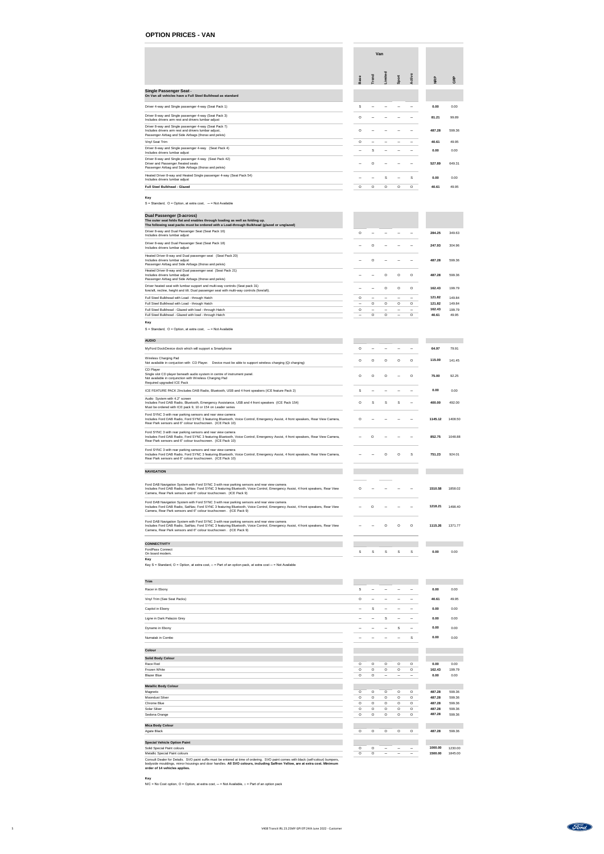|                                                                                                                                                                        |             |              | Van     |         |         |            |        |
|------------------------------------------------------------------------------------------------------------------------------------------------------------------------|-------------|--------------|---------|---------|---------|------------|--------|
|                                                                                                                                                                        | <b>Base</b> | <b>Trend</b> | Limited | Sport   | Active  | <b>NRP</b> | GRP    |
| <b>Single Passenger Seat -</b><br>On Van all vehicles have a Full Steel Bulkhead as standard                                                                           |             |              |         |         |         |            |        |
| Driver 4-way and Single passenger 4-way (Seat Pack 1)                                                                                                                  | S           |              |         |         |         | 0.00       | 0.00   |
| Driver 8-way and Single passenger 4-way (Seat Pack 3)<br>Includes drivers arm rest and drivers lumbar adjust                                                           | $\Omega$    |              |         |         |         | 81.21      | 99.89  |
| Driver 8-way and Single passenger 4-way (Seat Pack 7)<br>Includes drivers arm rest and drivers lumbar adjust,<br>Passenger Airbag and Side Airbags (thorax and pelvis) | $\circ$     |              |         |         |         | 487.28     | 599.36 |
| Vinyl Seat Trim                                                                                                                                                        | $\circ$     |              |         |         |         | 40.61      | 49.95  |
| Driver 8-way and Single passenger 4-way (Seat Pack 4)<br>Includes drivers lumbar adjust                                                                                |             |              |         |         |         | 0.00       | 0.00   |
| Driver 8-way and Single passenger 4-way (Seat Pack 42)<br>Driver and Passenger /heated seats<br>Passenger Airbag and Side Airbags (thorax and pelvis)                  |             | ∩            |         |         |         | 527.89     | 649.31 |
| Heated Driver 8-way and Heated Single passenger 4-way (Seat Pack 54)<br>Includes drivers lumbar adjust                                                                 |             |              |         |         | S       | 0.00       | 0.00   |
| <b>Full Steel Bulkhead - Glazed</b>                                                                                                                                    | $\circ$     | $\circ$      | $\circ$ | $\circ$ | $\circ$ | 40.61      | 49.95  |

### **Key**

 $S =$  Standard,  $O =$  Option, at extra cost,  $-$  = Not Available

| Dual Passenger (3-across)<br>The outer seat folds flat and enables through loading as well as folding up.<br>The following seat packs must be ordered with a Load-through Bulkhead (glazed or unglazed) |          |          |          |          |          |        |        |
|---------------------------------------------------------------------------------------------------------------------------------------------------------------------------------------------------------|----------|----------|----------|----------|----------|--------|--------|
| Driver 8-way and Dual Passenger Seat (Seat Pack 16)<br>Includes drivers lumbar adjust                                                                                                                   | ∩        |          |          |          |          | 284.25 | 349.63 |
| Driver 8-way and Dual Passenger Seat (Seat Pack 18)<br>Includes drivers lumbar adjust                                                                                                                   |          |          |          |          |          | 247.93 | 304.96 |
| Heated Driver 8-way and Dual passenger seat (Seat Pack 20)<br>Includes drivers lumbar adjust<br>Passenger Airbag and Side Airbags (thorax and pelvis)                                                   |          |          |          |          |          | 487.28 | 599.36 |
| Heated Driver 8-way and Dual passenger seat (Seat Pack 21)<br>Includes drivers lumbar adjust<br>Passenger Airbag and Side Airbags (thorax and pelvis)                                                   |          |          | ∩        | $\Omega$ | $\Omega$ | 487.28 | 599.36 |
| Driver heated seat with lumbar support and multi-way controls (Seat pack 31)<br>fore/aft, recline, height and tilt. Dual passenger seat with multi-way controls (fore/aft).                             |          |          |          | $\Omega$ | $\Omega$ | 162.43 | 199.79 |
| Full Steel Bulkhead with Load - through Hatch                                                                                                                                                           | $\Omega$ |          |          |          |          | 121.82 | 149.84 |
| Full Steel Bulkhead with Load - through Hatch                                                                                                                                                           |          | $\Omega$ | $\Omega$ | $\circ$  | $\Omega$ | 121.82 | 149.84 |
| Full Steel Bulkhead - Glazed with load - through Hatch                                                                                                                                                  | $\Omega$ |          |          |          |          | 162.43 | 199.79 |
| Full Steel Bulkhead - Glazed with load - through Hatch                                                                                                                                                  |          | $\Omega$ |          |          |          | 40.61  | 49.95  |

### **Key**

 $S =$  Standard,  $O =$  Option, at extra cost,  $-$  = Not Available

| <b>AUDIO</b>                                                                                                                                                                                                                                                                                      |          |          |   |   |          |         |         |
|---------------------------------------------------------------------------------------------------------------------------------------------------------------------------------------------------------------------------------------------------------------------------------------------------|----------|----------|---|---|----------|---------|---------|
| MyFord DockDevice dock which will support a Smartphone                                                                                                                                                                                                                                            | O        |          |   |   |          | 64.97   | 79.91   |
| <b>Wireless Charging Pad</b><br>Not available in conjuction with CD Player.<br>Device must be able to support wireless charging (Qi charging)                                                                                                                                                     | O        | O        | O | O | O        | 115.00  | 141.45  |
| <b>CD Player</b><br>Single slot CD player beneath audio system in centre of instrument panel.<br>Not available in conjunction with Wireless Charging Pad<br>Required upgraded ICE Pack                                                                                                            | $\Omega$ | $\Omega$ |   |   | $\Omega$ | 75.00   | 92.25   |
| ICE FEATURE PACK 2Includes DAB Radio, Bluetooth, USB and 4 front speakers (ICE feature Pack 2)                                                                                                                                                                                                    | S        |          |   |   |          | 0.00    | 0.00    |
| Audio System with 4.2" screen<br>Includes Ford DAB Radio, Bluetooth, Emergency Assistance, USB and 4 front speakers (ICE Pack 154)<br>Must be ordered with ICE pack 9, 10 or 154 on Leader series                                                                                                 | O        | S        | S | S |          | 400.00  | 492.00  |
| Ford SYNC 3 with rear parking sensors and rear view camera<br>Includes Ford DAB Radio, Ford SYNC 3 featuring Bluetooth, Voice Control, Emergency Assist, 4 front speakers, Rear View Camera,<br>Rear Park sensors and 6" colour touchscreen. (ICE Pack 10)                                        | $\Omega$ |          |   |   |          | 1145.12 | 1408.50 |
| Ford SYNC 3 with rear parking sensors and rear view camera<br>Includes Ford DAB Radio, Ford SYNC 3 featuring Bluetooth, Voice Control, Emergency Assist, 4 front speakers, Rear View Camera,<br>Rear Park sensors and 6" colour touchscreen. (ICE Pack 10)                                        |          |          |   |   |          | 852.75  | 1048.88 |
| Ford SYNC 3 with rear parking sensors and rear view camera<br>Includes Ford DAB Radio, Ford SYNC 3 featuring Bluetooth, Voice Control, Emergency Assist, 4 front speakers, Rear View Camera,<br>Rear Park sensors and 6" colour touchscreen. (ICE Pack 10)                                        |          |          |   |   | S        | 751.23  | 924.01  |
| <b>NAVIGATION</b>                                                                                                                                                                                                                                                                                 |          |          |   |   |          |         |         |
| Ford DAB Navigation System with Ford SYNC 3 with rear parking sensors and rear view camera<br>Includes Ford DAB Radio, SatNav, Ford SYNC 3 featuring Bluetooth, Voice Control, Emergency Assist, 4 front speakers, Rear View<br>Camera, Rear Park sensors and 6" colour touchscreen. (ICE Pack 9) |          |          |   |   |          | 1510.58 | 1858.02 |
| Ford DAB Navigation System with Ford SYNC 3 with rear parking sensors and rear view camera<br>Includes Ford DAB Radio, SatNav, Ford SYNC 3 featuring Bluetooth, Voice Control, Emergency Assist, 4 front speakers, Rear View<br>Camera, Rear Park sensors and 6" colour touchscreen. (ICE Pack 9) |          |          |   |   |          | 1218.21 | 1498.40 |
| Ford DAB Navigation System with Ford SYNC 3 with rear parking sensors and rear view camera<br>Includes Ford DAB Radio, SatNav, Ford SYNC 3 featuring Bluetooth, Voice Control, Emergency Assist, 4 front speakers, Rear View<br>Camera, Rear Park sensors and 6" colour touchscreen. (ICE Pack 9) |          |          |   |   |          | 1115.26 | 1371.77 |

| <b>CONNECTIVITY</b>                 |  |  |    |      |      |
|-------------------------------------|--|--|----|------|------|
| FordPass Connect<br>On board modem. |  |  | -S | 0.00 | 0.00 |
| Key                                 |  |  |    |      |      |

Key S = Standard, O = Option, at extra cost,  $\Box$  = Part of an option pack, at extra cost  $-$  = Not Available

| <b>Trim</b>                 |             |         |         |                |         |       |       |
|-----------------------------|-------------|---------|---------|----------------|---------|-------|-------|
| Racer in Ebony              | S           |         |         |                |         | 0.00  | 0.00  |
| Vinyl Trim (See Seat Packs) | $\mathsf O$ |         |         |                |         | 40.61 | 49.95 |
| Capitol in Ebony            |             | S       |         |                |         | 0.00  | 0.00  |
| Ligne in Dark Palazzo Grey  |             |         | S       |                |         | 0.00  | 0.00  |
| Dynamo in Ebony             |             |         |         | S              |         | 0.00  | 0.00  |
| Numatak in Combo            |             |         |         |                | S       | 0.00  | 0.00  |
|                             |             |         |         |                |         |       |       |
| <b>Colour</b>               |             |         |         |                |         |       |       |
| <b>Solid Body Colour</b>    |             |         |         |                |         |       |       |
| Race Red                    | $\circ$     | $\circ$ | $\circ$ | $\overline{O}$ | $\circ$ | 0.00  | 0.00  |

| Frozen White                | $\circ$ | $\circ$ | $\circ$ | $\circ$ | $\circ$ | 162.43 | 199.79 |
|-----------------------------|---------|---------|---------|---------|---------|--------|--------|
| <b>Blazer Blue</b>          | O       | O       |         |         |         | 0.00   | 0.00   |
| <b>Metallic Body Colour</b> |         |         |         |         |         |        |        |
| Magnetic                    | $\circ$ | O       | $\circ$ | $\circ$ | $\circ$ | 487.28 | 599.36 |
| <b>Moondust Silver</b>      | $\circ$ | $\circ$ | $\circ$ | $\circ$ | $\circ$ | 487.28 | 599.36 |
| Chrome Blue                 | $\circ$ | $\circ$ | $\circ$ | $\circ$ | $\circ$ | 487.28 | 599.36 |
| Solar Silver                | O       | $\circ$ | $\circ$ | $\circ$ | $\circ$ | 487.28 | 599.36 |
| Sedona Orange               | O       | $\circ$ | $\circ$ | $\circ$ | $\circ$ | 487.28 | 599.36 |

| <b>Mica Body Colour</b> |  |  |  |        |        |
|-------------------------|--|--|--|--------|--------|
| Agate Black             |  |  |  | 487.28 | 599.36 |
|                         |  |  |  |        |        |

| <b>Special Vehicle Option Paint</b>   |  |  |                          |         |         |
|---------------------------------------|--|--|--------------------------|---------|---------|
| <b>Solid Special Paint colours</b>    |  |  | $\overline{\phantom{0}}$ | 1000.00 | 1230.00 |
| <b>Metallic Special Paint colours</b> |  |  |                          | 1500.00 | 1845.00 |

Consult Dealer for Details. SVO paint suffix must be entered at time of ordering. SVO paint comes with black (self-colour) bumpers, bodyside mouldings, mirror housings and door handles. **All SVO colours, including Saffron Yellow, are at extra cost. Minimum order of 14 vehicles applies.**

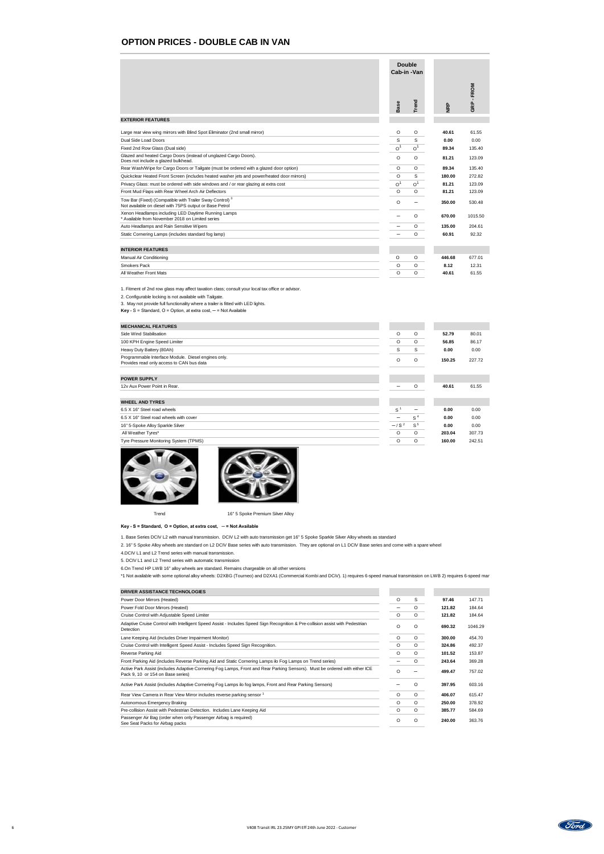## **OPTION PRICES - DOUBLE CAB IN VAN**

1. Fitment of 2nd row glass may affect taxation class; consult your local tax office or advisor.

2. Configurable locking is not available with Tailgate.

3. May not provide full functionality where a trailer is fitted with LED lights.

**Key -** S = Standard, O = Option, at extra cost, ─ = Not Available

| <b>MECHANICAL FEATURES</b>                                                                       |  |   |        |        |
|--------------------------------------------------------------------------------------------------|--|---|--------|--------|
| Side Wind Stabilisation                                                                          |  | O | 52.79  | 80.01  |
| 100 KPH Engine Speed Limiter                                                                     |  | O | 56.85  | 86.17  |
| Heavy Duty Battery (80Ah)                                                                        |  | S | 0.00   | 0.00   |
| Programmable Interface Module. Diesel engines only.<br>Provides read only access to CAN bus data |  |   | 150.25 | 227.72 |

| <b>POWER SUPPLY</b>                    |                          |                 |        |        |
|----------------------------------------|--------------------------|-----------------|--------|--------|
| 12v Aux Power Point in Rear.           | $\overline{\phantom{m}}$ | O               | 40.61  | 61.55  |
|                                        |                          |                 |        |        |
| <b>WHEEL AND TYRES</b>                 |                          |                 |        |        |
| 6.5 X 16" Steel road wheels            | S                        | $\qquad \qquad$ | 0.00   | 0.00   |
| 6.5 X 16" Steel road wheels with cover | —                        | S <sup>4</sup>  | 0.00   | 0.00   |
| 16" 5-Spoke Alloy Sparkle Silver       | $-1$ S <sup>2</sup>      | $\mathsf{S}^5$  | 0.00   | 0.00   |
| All Weather Tyres*                     | $\circ$                  | $\circ$         | 203.04 | 307.73 |
| Tyre Pressure Monitoring System (TPMS) | $\circ$                  | O               | 160.00 | 242.51 |





Trend Trend 16" 5 Spoke Premium Silver Alloy

|                                                                                                                                                                                                                                                         | <b>Double</b><br>Cab-in-Van                   |                                           |                                 |                                   |
|---------------------------------------------------------------------------------------------------------------------------------------------------------------------------------------------------------------------------------------------------------|-----------------------------------------------|-------------------------------------------|---------------------------------|-----------------------------------|
|                                                                                                                                                                                                                                                         | Base                                          | Trend                                     | <b>NRP</b>                      | FROM<br>$\mathbf{L}$<br>GRP       |
| <b>EXTERIOR FEATURES</b>                                                                                                                                                                                                                                |                                               |                                           |                                 |                                   |
| Large rear view wing mirrors with Blind Spot Eliminator (2nd small mirror)<br><b>Dual Side Load Doors</b><br>Fixed 2nd Row Glass (Dual side)<br>Glazed and heated Cargo Doors (instead of unglazed Cargo Doors).<br>Does not include a glazed bulkhead. | $\circ$<br>S<br>O <sup>1</sup><br>$\mathsf O$ | $\circ$<br>S<br>O <sup>1</sup><br>$\circ$ | 40.61<br>0.00<br>89.34<br>81.21 | 61.55<br>0.00<br>135.40<br>123.09 |
| Rear Wash/Wipe for Cargo Doors or Tailgate (must be ordered with a glazed door option)                                                                                                                                                                  | $\circ$                                       | $\circ$                                   | 89.34                           | 135.40                            |
| Quickclear Heated Front Screen (includes heated washer jets and power/heated door mirrors)                                                                                                                                                              | $\circ$                                       | S                                         | 180.00                          | 272.82                            |
| Privacy Glass: must be ordered with side windows and / or rear glazing at extra cost                                                                                                                                                                    | O <sup>1</sup>                                | O <sup>1</sup>                            | 81.21                           | 123.09                            |
| Front Mud Flaps with Rear Wheel Arch Air Deflectors                                                                                                                                                                                                     | $\mathsf O$                                   | $\circ$                                   | 81.21                           | 123.09                            |
| Tow Bar (Fixed) (Compatible with Trailer Sway Control) <sup>3</sup><br>Not available on diesel with 75PS output or Base Petrol                                                                                                                          | $\circ$                                       |                                           | 350.00                          | 530.48                            |
| Xenon Headlamps including LED Daytime Running Lamps<br>* Available from November 2018 on Limited series                                                                                                                                                 |                                               | $\circ$                                   | 670.00                          | 1015.50                           |
| Auto Headlamps and Rain Sensitive Wipers                                                                                                                                                                                                                |                                               | $\circ$                                   | 135.00                          | 204.61                            |
| Static Cornering Lamps (includes standard fog lamp)                                                                                                                                                                                                     |                                               | $\circ$                                   | 60.91                           | 92.32                             |
|                                                                                                                                                                                                                                                         |                                               |                                           |                                 |                                   |
| <b>INTERIOR FEATURES</b>                                                                                                                                                                                                                                |                                               |                                           |                                 |                                   |
| <b>Manual Air Conditioning</b>                                                                                                                                                                                                                          | $\mathsf O$                                   | $\circ$                                   | 446.68                          | 677.01                            |
| <b>Smokers Pack</b>                                                                                                                                                                                                                                     | $\circ$                                       | $\circ$                                   | 8.12                            | 12.31                             |
| All Weather Front Mats                                                                                                                                                                                                                                  | $\circ$                                       | $\circ$                                   | 40.61                           | 61.55                             |

**Key - S = Standard, O = Option, at extra cost, ─ = Not Available**

1. Base Series DCIV L2 with manual transmission. DCIV L2 with auto transmission get 16" 5 Spoke Sparkle Silver Alloy wheels as standard

2. 16" 5 Spoke Alloy wheels are standard on L2 DCIV Base series with auto transmission. They are optional on L1 DCIV Base series and come with a spare wheel

4.DCIV L1 and L2 Trend series with manual transmission.

5. DCIV L1 and L2 Trend series with automatic transmission

6.On Trend HP LWB 16" alloy wheels are standard. Remains chargeable on all other versions

| DRIVER ASSISTANCE TECHNOLOGIES                                                                                                                                   |         |         |        |         |
|------------------------------------------------------------------------------------------------------------------------------------------------------------------|---------|---------|--------|---------|
| Power Door Mirrors (Heated)                                                                                                                                      | O       | S       | 97.46  | 147.71  |
| Power Fold Door Mirrors (Heated)                                                                                                                                 |         | O       | 121.82 | 184.64  |
| Cruise Control with Adjustable Speed Limiter                                                                                                                     | O       | O       | 121.82 | 184.64  |
| Adaptive Cruise Control with Intelligent Speed Assist - Includes Speed Sign Recognition & Pre-collision assist with Pedestrian<br>Detection                      | O       | O       | 690.32 | 1046.29 |
| Lane Keeping Aid (includes Driver Impairment Monitor)                                                                                                            | O       | O       | 300.00 | 454.70  |
| Cruise Control with Intelligent Speed Assist - Includes Speed Sign Recognition.                                                                                  | $\circ$ | O       | 324.86 | 492.37  |
| Reverse Parking Aid                                                                                                                                              | $\circ$ | O       | 101.52 | 153.87  |
| Front Parking Aid (includes Reverse Parking Aid and Static Cornering Lamps ilo Fog Lamps on Trend series)                                                        |         | O       | 243.64 | 369.28  |
| Active Park Assist (includes Adaptive Cornering Fog Lamps, Front and Rear Parking Sensors). Must be ordered with either ICE<br>Pack 9, 10 or 154 on Base series) | O       |         | 499.47 | 757.02  |
| Active Park Assist (includes Adaptive Cornering Fog Lamps ilo fog lamps, Front and Rear Parking Sensors)                                                         |         | O       | 397.95 | 603.16  |
| Rear View Camera in Rear View Mirror includes reverse parking sensor <sup>1</sup>                                                                                | $\circ$ | $\circ$ | 406.07 | 615.47  |
| <b>Autonomous Emergency Braking</b>                                                                                                                              | $\circ$ | O       | 250.00 | 378.92  |
| Pre-collision Assist with Pedestrian Detection. Includes Lane Keeping Aid                                                                                        | $\circ$ | O       | 385.77 | 584.69  |
| Passenger Air Bag (order when only Passenger Airbag is required)<br>See Seat Packs for Airbag packs                                                              | O       | O       | 240.00 | 363.76  |



\*1 Not available with some optional alloy wheels: D2XBG (Tourneo) and D2XA1 (Commercial Kombi and DCiV). 1) requires 6-speed manual transmission on LWB 2) requires 6-speed manual transmission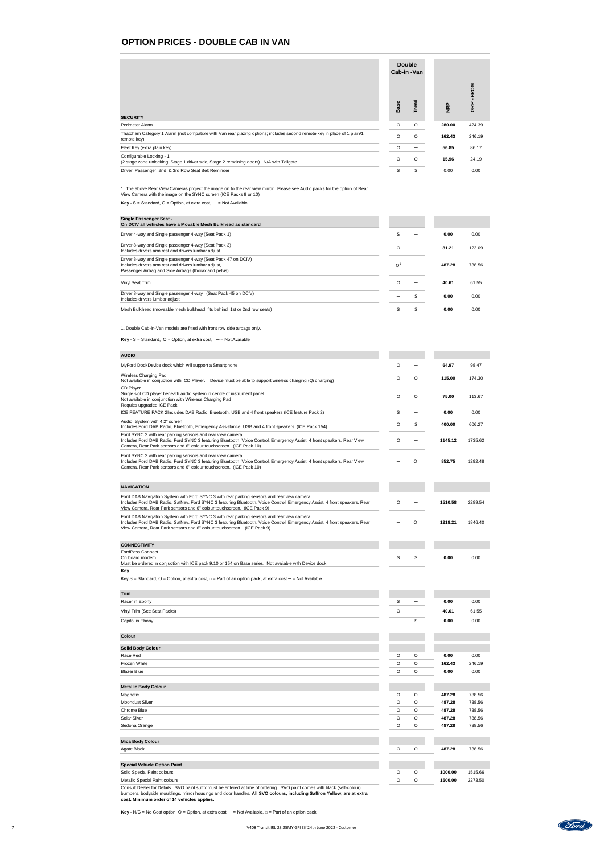### **OPTION PRICES - DOUBLE CAB IN VAN**

|                                                                                                                                          |               | <b>Double</b><br>Cab-in-Van |            |            |
|------------------------------------------------------------------------------------------------------------------------------------------|---------------|-----------------------------|------------|------------|
| <b>SECURITY</b>                                                                                                                          | Base          | Trend                       | <b>NRP</b> | ROM<br>GRP |
| Perimeter Alarm                                                                                                                          | $\circ$       | $\mathsf O$                 | 280.00     | 424.39     |
| Thatcham Category 1 Alarm (not compatible with Van rear glazing options; includes second remote key in place of 1 plain/1<br>remote key) | $\circ$       | $\circ$                     | 162.43     | 246.19     |
| Fleet Key (extra plain key)                                                                                                              | $\circ$       | $\overline{\phantom{0}}$    | 56.85      | 86.17      |
| Configurable Locking - 1<br>(2 stage zone unlocking; Stage 1 driver side, Stage 2 remaining doors). N/A with Tailgate                    | $\circ$       | $\circ$                     | 15.96      | 24.19      |
| Driver, Passenger, 2nd & 3rd Row Seat Belt Reminder                                                                                      | ${\mathsf S}$ | $\mathsf S$                 | 0.00       | 0.00       |

1. The above Rear View Cameras project the image on to the rear view mirror. Please see Audio packs for the option of Rear View Camera with the image on the SYNC screen (ICE Packs 9 or 10)

**Key -**  $S$  = Standard,  $O$  = Option, at extra cost,  $-$  = Not Available

| <b>Single Passenger Seat -</b><br>On DCIV all vehicles have a Movable Mesh Bulkhead as standard                                                                                 |                |   |        |        |
|---------------------------------------------------------------------------------------------------------------------------------------------------------------------------------|----------------|---|--------|--------|
| Driver 4-way and Single passenger 4-way (Seat Pack 1)                                                                                                                           | S              |   | 0.00   | 0.00   |
| Driver 8-way and Single passenger 4-way (Seat Pack 3)<br>Includes drivers arm rest and drivers lumbar adjust                                                                    | O              |   | 81.21  | 123.09 |
| Driver 8-way and Single passenger 4-way (Seat Pack 47 on DCIV)<br>Includes drivers arm rest and drivers lumbar adjust,<br>Passenger Airbag and Side Airbags (thorax and pelvis) | $\overline{O}$ |   | 487.28 | 738.56 |
| Vinyl Seat Trim                                                                                                                                                                 | O              |   | 40.61  | 61.55  |
| Driver 8-way and Single passenger 4-way (Seat Pack 45 on DCiV)<br>Includes drivers lumbar adjust                                                                                |                | S | 0.00   | 0.00   |
| Mesh Bulkhead (moveable mesh bulkhead, fits behind 1st or 2nd row seats)                                                                                                        | S              | S | 0.00   | 0.00   |

1. Double Cab-in-Van models are fitted with front row side airbags only.

**Key** - S = Standard,  $O =$  Option, at extra cost,  $-$  = Not Available

| <b>AUDIO</b>                                           |  |       |    |  |
|--------------------------------------------------------|--|-------|----|--|
| MuFord DookDovies dook which will support a Smartphone |  | CA 07 | റാ |  |

| MyFord DockDevice dock which will support a Smartphone                                                                                                                                                                                                                                            | $\circ$         |         | 64.97   | 98.47   |
|---------------------------------------------------------------------------------------------------------------------------------------------------------------------------------------------------------------------------------------------------------------------------------------------------|-----------------|---------|---------|---------|
| Wireless Charging Pad<br>Not available in conjuction with CD Player. Device must be able to support wireless charging (Qi charging)                                                                                                                                                               | O               | $\circ$ | 115.00  | 174.30  |
| <b>CD Player</b><br>Single slot CD player beneath audio system in centre of instrument panel.<br>Not available in conjunction with Wireless Charging Pad<br>Requies upgraded ICE Pack                                                                                                             | O               | O       | 75.00   | 113.67  |
| ICE FEATURE PACK 2Includes DAB Radio, Bluetooth, USB and 4 front speakers (ICE feature Pack 2)                                                                                                                                                                                                    | S               |         | 0.00    | 0.00    |
| Audio System with 4.2" screen<br>Includes Ford DAB Radio, Bluetooth, Emergency Assistance, USB and 4 front speakers (ICE Pack 154)                                                                                                                                                                | O               | S       | 400.00  | 606.27  |
| Ford SYNC 3 with rear parking sensors and rear view camera<br>Includes Ford DAB Radio, Ford SYNC 3 featuring Bluetooth, Voice Control, Emergency Assist, 4 front speakers, Rear View<br>Camera, Rear Park sensors and 6" colour touchscreen. (ICE Pack 10)                                        | O               |         | 1145.12 | 1735.62 |
| Ford SYNC 3 with rear parking sensors and rear view camera<br>Includes Ford DAB Radio, Ford SYNC 3 featuring Bluetooth, Voice Control, Emergency Assist, 4 front speakers, Rear View<br>Camera, Rear Park sensors and 6" colour touchscreen. (ICE Pack 10)                                        |                 | O       | 852.75  | 1292.48 |
| <b>NAVIGATION</b>                                                                                                                                                                                                                                                                                 |                 |         |         |         |
| Ford DAB Navigation System with Ford SYNC 3 with rear parking sensors and rear view camera<br>Includes Ford DAB Radio, SatNav, Ford SYNC 3 featuring Bluetooth, Voice Control, Emergency Assist, 4 front speakers, Rear<br>View Camera, Rear Park sensors and 6" colour touchscreen. (ICE Pack 9) | O               |         | 1510.58 | 2289.54 |
| Ford DAB Navigation System with Ford SYNC 3 with rear parking sensors and rear view camera<br>Includes Ford DAB Radio, SatNav, Ford SYNC 3 featuring Bluetooth, Voice Control, Emergency Assist, 4 front speakers, Rear<br>View Camera, Rear Park sensors and 6" colour touchscreen. (ICE Pack 9) |                 | $\circ$ | 1218.21 | 1846.40 |
| <b>CONNECTIVITY</b>                                                                                                                                                                                                                                                                               |                 |         |         |         |
| <b>FordPass Connect</b><br>On board modem.<br>Must be ordered in conjuction with ICE pack 9,10 or 154 on Base series. Not available with Device dock.                                                                                                                                             | S               | S       | 0.00    | 0.00    |
| <b>Key</b><br>Key S = Standard, O = Option, at extra cost, $\Box$ = Part of an option pack, at extra cost $-$ = Not Available                                                                                                                                                                     |                 |         |         |         |
| <b>Trim</b>                                                                                                                                                                                                                                                                                       |                 |         |         |         |
| Racer in Ebony                                                                                                                                                                                                                                                                                    | S               |         | 0.00    | 0.00    |
| Vinyl Trim (See Seat Packs)                                                                                                                                                                                                                                                                       | $\circ$         |         | 40.61   | 61.55   |
| Capitol in Ebony                                                                                                                                                                                                                                                                                  | $\qquad \qquad$ | S       | 0.00    | 0.00    |
| <b>Colour</b>                                                                                                                                                                                                                                                                                     |                 |         |         |         |
| <b>Solid Body Colour</b>                                                                                                                                                                                                                                                                          |                 |         |         |         |
| Race Red                                                                                                                                                                                                                                                                                          | $\circ$         | $\circ$ | 0.00    | 0.00    |
| Frozen White                                                                                                                                                                                                                                                                                      | $\mathsf O$     | $\circ$ | 162.43  | 246.19  |
| <b>Blazer Blue</b>                                                                                                                                                                                                                                                                                | $\circ$         | $\circ$ | 0.00    | 0.00    |
| <b>Metallic Body Colour</b>                                                                                                                                                                                                                                                                       |                 |         |         |         |
| Magnetic                                                                                                                                                                                                                                                                                          | $\circ$         | $\circ$ | 487.28  | 738.56  |
| <b>Moondust Silver</b>                                                                                                                                                                                                                                                                            | $\mathsf O$     | $\circ$ | 487.28  | 738.56  |
| Chrome Blue                                                                                                                                                                                                                                                                                       | $\mathsf{O}$    | $\circ$ | 487.28  | 738.56  |
| <b>Solar Silver</b>                                                                                                                                                                                                                                                                               | $\circ$         | $\circ$ | 487.28  | 738.56  |
| Sedona Orange                                                                                                                                                                                                                                                                                     | $\circ$         | $\circ$ | 487.28  | 738.56  |

| <b>Mica Body Colour</b>                                                                                                    |          |   |         |         |
|----------------------------------------------------------------------------------------------------------------------------|----------|---|---------|---------|
| Agate Black                                                                                                                | $\Omega$ | O | 487.28  | 738.56  |
|                                                                                                                            |          |   |         |         |
| <b>Special Vehicle Option Paint</b>                                                                                        |          |   |         |         |
| Solid Special Paint colours                                                                                                | O        | O | 1000.00 | 1515.66 |
| <b>Metallic Special Paint colours</b>                                                                                      | O        | O | 1500.00 | 2273.50 |
| Capault Dealer for Details, CVQ point outfly must be entered at time of endering. CVQ point comes with blook (oalf colour) |          |   |         |         |

Consult Dealer for Details. SVO paint suffix must be entered at time of ordering. SVO paint comes with black (self-colour) bumpers, bodyside mouldings, mirror housings and door handles. **All SVO colours, including Saffron Yellow, are at extra cost. Minimum order of 14 vehicles applies.**

**Key -** N/C = No Cost option, O = Option, at extra cost, — = Not Available, □ = Part of an option pack

Ford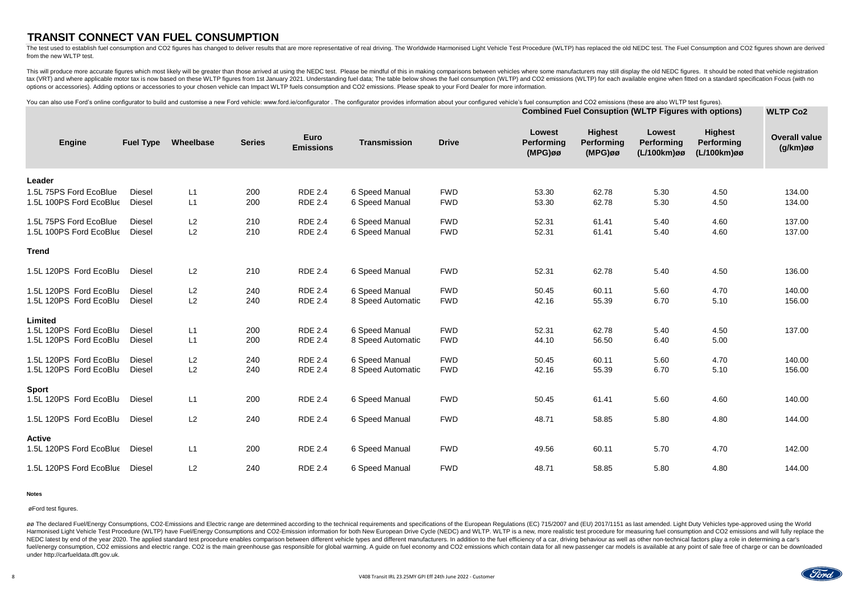# **TRANSIT CONNECT VAN FUEL CONSUMPTION**

The test used to establish fuel consumption and CO2 figures has changed to deliver results that are more representative of real driving. The Worldwide Harmonised Light Vehicle Test Procedure (WLTP) has replaced the old NED from the new WLTP test.

This will produce more accurate figures which most likely will be greater than those arrived at using the NEDC test. Please be mindful of this in making comparisons between vehicles where some manufacturers may still displ tax (VRT) and where applicable motor tax is now based on these WLTP figures from 1st January 2021. Understanding fuel data; The table below shows the fuel consumption (WLTP) and CO2 emissions (WLTP) for each available engi options or accessories). Adding options or accessories to your chosen vehicle can Impact WLTP fuels consumption and CO2 emissions. Please speak to your Ford Dealer for more information.

### **Notes**

øø The declared Fuel/Energy Consumptions, CO2-Emissions and Electric range are determined according to the technical requirements and specifications of the European Regulations (EC) 715/2007 and (EU) 2017/1151 as last amen Harmonised Light Vehicle Test Procedure (WLTP) have Fuel/Energy Consumptions and CO2-Emission information for both New European Drive Cycle (NEDC) and WLTP. WLTP is a new, more realistic test procedure for measuring fuel c NEDC latest by end of the year 2020. The applied standard test procedure enables comparison between different vehicle types and different manufacturers. In addition to the fuel efficiency of a car, driving behaviour as wel fuel/energy consumption, CO2 emissions and electric range. CO2 is the main greenhouse gas responsible for global warming. A guide on fuel economy and CO2 emissions which contain data for all new passenger car models is ava under http://carfueldata.dft.gov.uk.

|                         | <b>Fuel Type</b> | Wheelbase | <b>Series</b> | <b>Euro</b><br><b>Emissions</b> | <b>Transmission</b>   |              | You can also use Ford's online configurator to build and customise a new Ford vehicle: www.ford.ie/configurator . The configurator provides information about your configured vehicle's fuel consumption and CO2 emissions (th<br><b>Combined Fuel Consuption (WLTP Figures with options)</b> |                                                   |                                            |                                                    | <b>WLTP Co2</b>                     |
|-------------------------|------------------|-----------|---------------|---------------------------------|-----------------------|--------------|-----------------------------------------------------------------------------------------------------------------------------------------------------------------------------------------------------------------------------------------------------------------------------------------------|---------------------------------------------------|--------------------------------------------|----------------------------------------------------|-------------------------------------|
| <b>Engine</b>           |                  |           |               |                                 |                       | <b>Drive</b> | <b>Lowest</b><br><b>Performing</b><br>$(MPG)$ øø                                                                                                                                                                                                                                              | <b>Highest</b><br><b>Performing</b><br>$(MPG)$ øø | Lowest<br><b>Performing</b><br>(L/100km)øø | <b>Highest</b><br><b>Performing</b><br>(L/100km)øø | <b>Overall value</b><br>$(g/km)$ øø |
| Leader                  |                  |           |               |                                 |                       |              |                                                                                                                                                                                                                                                                                               |                                                   |                                            |                                                    |                                     |
| 1.5L 75PS Ford EcoBlue  | <b>Diesel</b>    | L1        | 200           | <b>RDE 2.4</b>                  | <b>6 Speed Manual</b> | <b>FWD</b>   | 53.30                                                                                                                                                                                                                                                                                         | 62.78                                             | 5.30                                       | 4.50                                               | 134.00                              |
| 1.5L 100PS Ford EcoBlue | <b>Diesel</b>    | L1        | 200           | <b>RDE 2.4</b>                  | 6 Speed Manual        | <b>FWD</b>   | 53.30                                                                                                                                                                                                                                                                                         | 62.78                                             | 5.30                                       | 4.50                                               | 134.00                              |
| 1.5L 75PS Ford EcoBlue  | <b>Diesel</b>    | L2        | 210           | <b>RDE 2.4</b>                  | <b>6 Speed Manual</b> | <b>FWD</b>   | 52.31                                                                                                                                                                                                                                                                                         | 61.41                                             | 5.40                                       | 4.60                                               | 137.00                              |
| 1.5L 100PS Ford EcoBlue | <b>Diesel</b>    | L2        | 210           | <b>RDE 2.4</b>                  | 6 Speed Manual        | <b>FWD</b>   | 52.31                                                                                                                                                                                                                                                                                         | 61.41                                             | 5.40                                       | 4.60                                               | 137.00                              |
| <b>Trend</b>            |                  |           |               |                                 |                       |              |                                                                                                                                                                                                                                                                                               |                                                   |                                            |                                                    |                                     |
| 1.5L 120PS Ford EcoBlu  | <b>Diesel</b>    | L2        | 210           | <b>RDE 2.4</b>                  | 6 Speed Manual        | <b>FWD</b>   | 52.31                                                                                                                                                                                                                                                                                         | 62.78                                             | 5.40                                       | 4.50                                               | 136.00                              |
| 1.5L 120PS Ford EcoBlu  | <b>Diesel</b>    | L2        | 240           | <b>RDE 2.4</b>                  | 6 Speed Manual        | <b>FWD</b>   | 50.45                                                                                                                                                                                                                                                                                         | 60.11                                             | 5.60                                       | 4.70                                               | 140.00                              |
| 1.5L 120PS Ford EcoBlu  | <b>Diesel</b>    | L2        | 240           | <b>RDE 2.4</b>                  | 8 Speed Automatic     | <b>FWD</b>   | 42.16                                                                                                                                                                                                                                                                                         | 55.39                                             | 6.70                                       | 5.10                                               | 156.00                              |
| <b>Limited</b>          |                  |           |               |                                 |                       |              |                                                                                                                                                                                                                                                                                               |                                                   |                                            |                                                    |                                     |
| 1.5L 120PS Ford EcoBlu  | <b>Diesel</b>    | L1        | 200           | <b>RDE 2.4</b>                  | 6 Speed Manual        | <b>FWD</b>   | 52.31                                                                                                                                                                                                                                                                                         | 62.78                                             | 5.40                                       | 4.50                                               | 137.00                              |
| 1.5L 120PS Ford EcoBlu  | <b>Diesel</b>    | L1        | 200           | <b>RDE 2.4</b>                  | 8 Speed Automatic     | <b>FWD</b>   | 44.10                                                                                                                                                                                                                                                                                         | 56.50                                             | 6.40                                       | 5.00                                               |                                     |
| 1.5L 120PS Ford EcoBlu  | <b>Diesel</b>    | L2        | 240           | <b>RDE 2.4</b>                  | 6 Speed Manual        | <b>FWD</b>   | 50.45                                                                                                                                                                                                                                                                                         | 60.11                                             | 5.60                                       | 4.70                                               | 140.00                              |
| 1.5L 120PS Ford EcoBlu  | <b>Diesel</b>    | L2        | 240           | <b>RDE 2.4</b>                  | 8 Speed Automatic     | <b>FWD</b>   | 42.16                                                                                                                                                                                                                                                                                         | 55.39                                             | 6.70                                       | 5.10                                               | 156.00                              |
| <b>Sport</b>            |                  |           |               |                                 |                       |              |                                                                                                                                                                                                                                                                                               |                                                   |                                            |                                                    |                                     |
| 1.5L 120PS Ford EcoBlu  | <b>Diesel</b>    | L1        | 200           | <b>RDE 2.4</b>                  | 6 Speed Manual        | <b>FWD</b>   | 50.45                                                                                                                                                                                                                                                                                         | 61.41                                             | 5.60                                       | 4.60                                               | 140.00                              |
| 1.5L 120PS Ford EcoBlu  | <b>Diesel</b>    | L2        | 240           | <b>RDE 2.4</b>                  | 6 Speed Manual        | <b>FWD</b>   | 48.71                                                                                                                                                                                                                                                                                         | 58.85                                             | 5.80                                       | 4.80                                               | 144.00                              |
| <b>Active</b>           |                  |           |               |                                 |                       |              |                                                                                                                                                                                                                                                                                               |                                                   |                                            |                                                    |                                     |
| 1.5L 120PS Ford EcoBlue | <b>Diesel</b>    | L1        | 200           | <b>RDE 2.4</b>                  | 6 Speed Manual        | <b>FWD</b>   | 49.56                                                                                                                                                                                                                                                                                         | 60.11                                             | 5.70                                       | 4.70                                               | 142.00                              |
| 1.5L 120PS Ford EcoBlue | <b>Diesel</b>    | L2        | 240           | <b>RDE 2.4</b>                  | 6 Speed Manual        | FWD          | 48.71                                                                                                                                                                                                                                                                                         | 58.85                                             | 5.80                                       | 4.80                                               | 144.00                              |

øFord test figures.

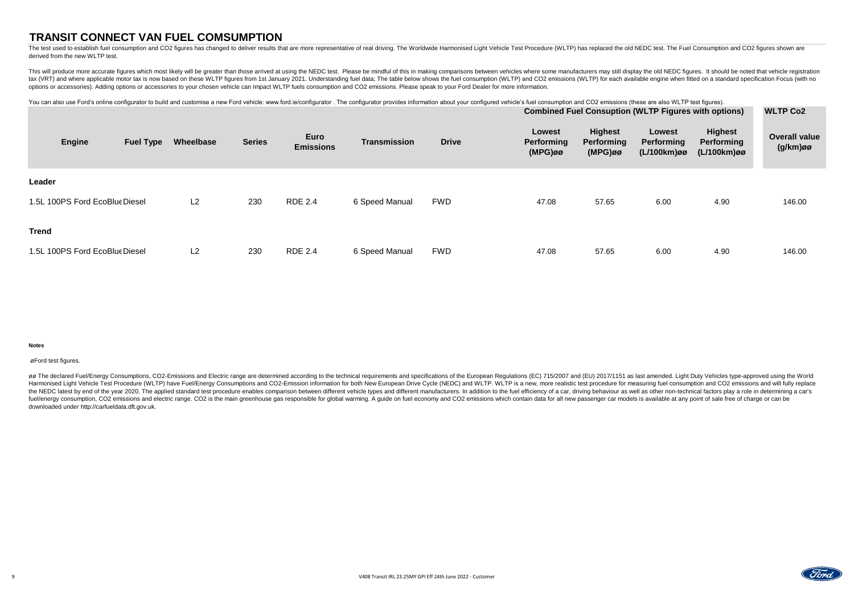# **TRANSIT CONNECT VAN FUEL COMSUMPTION**

### **Notes**

The test used to establish fuel consumption and CO2 figures has changed to deliver results that are more representative of real driving. The Worldwide Harmonised Light Vehicle Test Procedure (WLTP) has replaced the old NED derived from the new WLTP test.

This will produce more accurate figures which most likely will be greater than those arrived at using the NEDC test. Please be mindful of this in making comparisons between vehicles where some manufacturers may still displ tax (VRT) and where applicable motor tax is now based on these WLTP figures from 1st January 2021. Understanding fuel data; The table below shows the fuel consumption (WLTP) and CO2 emissions (WLTP) for each available engi options or accessories). Adding options or accessories to your chosen vehicle can Impact WLTP fuels consumption and CO2 emissions. Please speak to your Ford Dealer for more information.

øø The declared Fuel/Energy Consumptions, CO2-Emissions and Electric range are determined according to the technical requirements and specifications of the European Regulations (EC) 715/2007 and (EU) 2017/1151 as last amen Harmonised Light Vehicle Test Procedure (WLTP) have Fuel/Energy Consumptions and CO2-Emission information for both New European Drive Cycle (NEDC) and WLTP. WLTP is a new, more realistic test procedure for measuring fuel c the NEDC latest by end of the year 2020. The applied standard test procedure enables comparison between different vehicle types and different manufacturers. In addition to the fuel efficiency of a car, driving behaviour as fuel/energy consumption, CO2 emissions and electric range. CO2 is the main greenhouse gas responsible for global warming. A guide on fuel economy and CO2 emissions which contain data for all new passenger car models is ava downloaded under http://carfueldata.dft.gov.uk.

| You can also use Ford's online configurator to build and customise a new Ford vehicle: www.ford.ie/configurator. The configurator provides information about your configured vehicle's fuel consumption and CO2 emissions (the |                  |           |               |                  |                     |              |                             |                                     |                                                                                            |                              |                                         |
|--------------------------------------------------------------------------------------------------------------------------------------------------------------------------------------------------------------------------------|------------------|-----------|---------------|------------------|---------------------|--------------|-----------------------------|-------------------------------------|--------------------------------------------------------------------------------------------|------------------------------|-----------------------------------------|
| <b>Engine</b>                                                                                                                                                                                                                  | <b>Fuel Type</b> | Wheelbase | <b>Series</b> | <b>Euro</b>      | <b>Transmission</b> | <b>Drive</b> | <b>Lowest</b><br>Performing | <b>Highest</b><br><b>Performing</b> | <b>Combined Fuel Consuption (WLTP Figures with options)</b><br>Lowest<br><b>Performing</b> | <b>Highest</b><br>Performing | <b>WLTP Co2</b><br><b>Overall value</b> |
|                                                                                                                                                                                                                                |                  |           |               | <b>Emissions</b> |                     |              | $(MPG)$ øø                  | $(MPG)$ øø                          | (L/100km)øø                                                                                | (L/100km)øø                  | (g/km)øø                                |
| Leader                                                                                                                                                                                                                         |                  |           |               |                  |                     |              |                             |                                     |                                                                                            |                              |                                         |
| 1.5L 100PS Ford EcoBlue Diesel                                                                                                                                                                                                 |                  | L2        | 230           | <b>RDE 2.4</b>   | 6 Speed Manual      | <b>FWD</b>   | 47.08                       | 57.65                               | 6.00                                                                                       | 4.90                         | 146.00                                  |
| <b>Trend</b>                                                                                                                                                                                                                   |                  |           |               |                  |                     |              |                             |                                     |                                                                                            |                              |                                         |
| 1.5L 100PS Ford EcoBlue Diesel                                                                                                                                                                                                 |                  | L2        | 230           | <b>RDE 2.4</b>   | 6 Speed Manual      | <b>FWD</b>   | 47.08                       | 57.65                               | 6.00                                                                                       | 4.90                         | 146.00                                  |

øFord test figures.

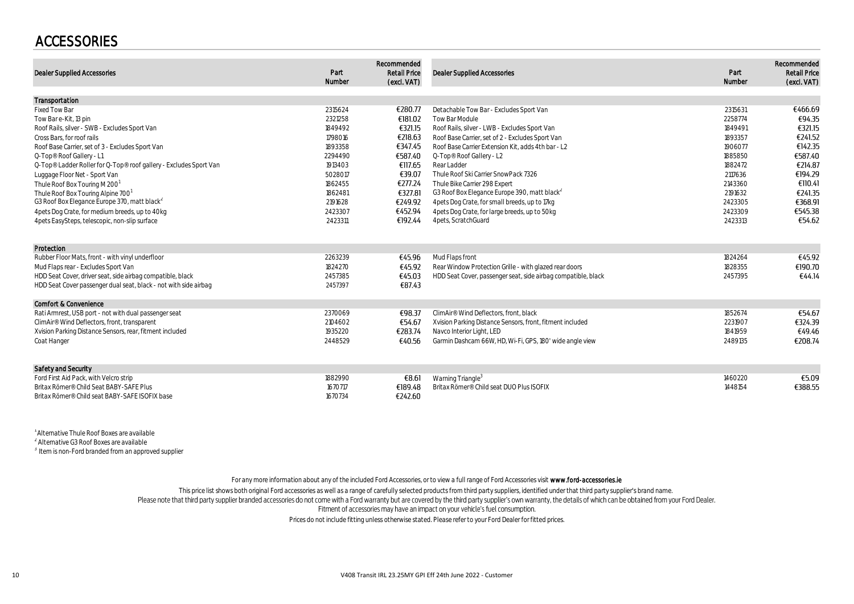### ACCESSORIES

| <b>Dealer Supplied Accessories</b>                                | Part<br>Number | Recommended<br><b>Retail Price</b><br>(excl. VAT) | <b>Dealer Supplied Accessories</b>                              | Part<br>Number | Recommended<br><b>Retail Price</b><br>(excl. VAT) |
|-------------------------------------------------------------------|----------------|---------------------------------------------------|-----------------------------------------------------------------|----------------|---------------------------------------------------|
| Transportation                                                    |                |                                                   |                                                                 |                |                                                   |
| <b>Fixed Tow Bar</b>                                              | 2315624        | €280.77                                           | Detachable Tow Bar - Excludes Sport Van                         | 2315631        | €466.69                                           |
| Tow Bar e-Kit, 13 pin                                             | 2321258        | €181.02                                           | Tow Bar Module                                                  | 2258774        | €94.35                                            |
| Roof Rails, silver - SWB - Excludes Sport Van                     | 1849492        | €321.15                                           | Roof Rails, silver - LWB - Excludes Sport Van                   | 1849491        | €321.15                                           |
| Cross Bars, for roof rails                                        | 1798016        | €218.63                                           | Roof Base Carrier, set of 2 - Excludes Sport Van                | 1893357        | €241.52                                           |
| Roof Base Carrier, set of 3 - Excludes Sport Van                  | 1893358        | €347.45                                           | Roof Base Carrier Extension Kit, adds 4th bar - L2              | 1906077        | €142.35                                           |
| Q-Top® Roof Gallery - L1                                          | 2294490        | €587.40                                           | Q-Top® Roof Gallery - L2                                        | 1885850        | €587.40                                           |
| Q-Top® Ladder Roller for Q-Top® roof gallery - Excludes Sport Van | 1913403        | €117.65                                           | Rear Ladder                                                     | 1882472        | €214.87                                           |
| Luggage Floor Net - Sport Van                                     | 5028017        | €39.07                                            | Thule Roof Ski Carrier SnowPack 7326                            | 2117636        | €194.29                                           |
| Thule Roof Box Touring M 200 <sup>1</sup>                         | 1862455        | €277.24                                           | Thule Bike Carrier 298 Expert                                   | 2143360        | €110.41                                           |
| Thule Roof Box Touring Alpine 700'                                | 1862481        | €327.81                                           | G3 Roof Box Elegance Europe 390, matt black <sup>2</sup>        | 2191632        | €241.35                                           |
| G3 Roof Box Elegance Europe 370, matt black                       | 2191628        | €249.92                                           | 4 pets Dog Crate, for small breeds, up to 17 kg                 | 2423305        | €368.91                                           |
| 4pets Dog Crate, for medium breeds, up to 40kg                    | 2423307        | €452.94                                           | 4 pets Dog Crate, for large breeds, up to 50kg                  | 2423309        | €545.38                                           |
| 4 pets EasySteps, telescopic, non-slip surface                    | 2423311        | €192.44                                           | 4 pets, Scratch Guard                                           | 2423313        | €54.62                                            |
| Protection                                                        |                |                                                   |                                                                 |                |                                                   |
| Rubber Floor Mats, front - with vinyl underfloor                  | 2263239        | €45.96                                            | Mud Flaps front                                                 | 1824264        | €45.92                                            |
| Mud Flaps rear - Excludes Sport Van                               | 1824270        | €45.92                                            | Rear Window Protection Grille - with glazed rear doors          | 1828355        | €190.70                                           |
| HDD Seat Cover, driver seat, side airbag compatible, black        | 2457385        | €45.03                                            | HDD Seat Cover, passenger seat, side airbag compatible, black   | 2457395        | €44.14                                            |
| HDD Seat Cover passenger dual seat, black - not with side airbag  | 2457397        | €87.43                                            |                                                                 |                |                                                   |
| <b>Comfort &amp; Convenience</b>                                  |                |                                                   |                                                                 |                |                                                   |
| Rati Armrest, USB port - not with dual passenger seat             | 2370069        | €98.37                                            | ClimAir® Wind Deflectors, front, black                          | 1852674        | €54.67                                            |
| ClimAir® Wind Deflectors, front, transparent                      | 2104602        | €54.67                                            | Xvision Parking Distance Sensors, front, fitment included       | 2231907        | €324.39                                           |
| Xvision Parking Distance Sensors, rear, fitment included          | 1935220        | €283.74                                           | Navco Interior Light, LED                                       | 1841959        | €49.46                                            |
| Coat Hanger                                                       | 2448529        |                                                   | €40.56 Garmin Dashcam 66W, HD, Wi-Fi, GPS, 180' wide angle view | 2489135        | €208.74                                           |
| Safety and Security                                               |                |                                                   |                                                                 |                |                                                   |
| Ford First Aid Pack, with Velcro strip                            | 1882990        | €8.61                                             | Warning Triangle <sup>3</sup>                                   | 1460220        | €5.09                                             |
| Britax Römer® Child Seat BABY-SAFE Plus                           | 1670717        | €189.48                                           | Britax Römer® Child seat DUO Plus ISOFIX                        | 1448154        | €388.55                                           |
| Britax Römer® Child seat BABY-SAFE ISOFIX base                    | 1670734        | €242.60                                           |                                                                 |                |                                                   |

1 Alternative Thule Roof Boxes are available

 $^{2}$  Alternative G3 Roof Boxes are available

<sup>3</sup> Item is non-Ford branded from an approved supplier

For any more information about any of the included Ford Accessories, or to view a full range of Ford Accessories visit www.ford-accessories.ie

This price list shows both original Ford accessories as well as a range of carefully selected products from third party suppliers, identified under that third party supplier's brand name.<br>Please note that third party suppl

Fitment of accessories may have an impact on your vehicle's fuel consumption.

Prices do not include fitting unless otherwise stated. Please refer to your Ford Dealer for fitted prices.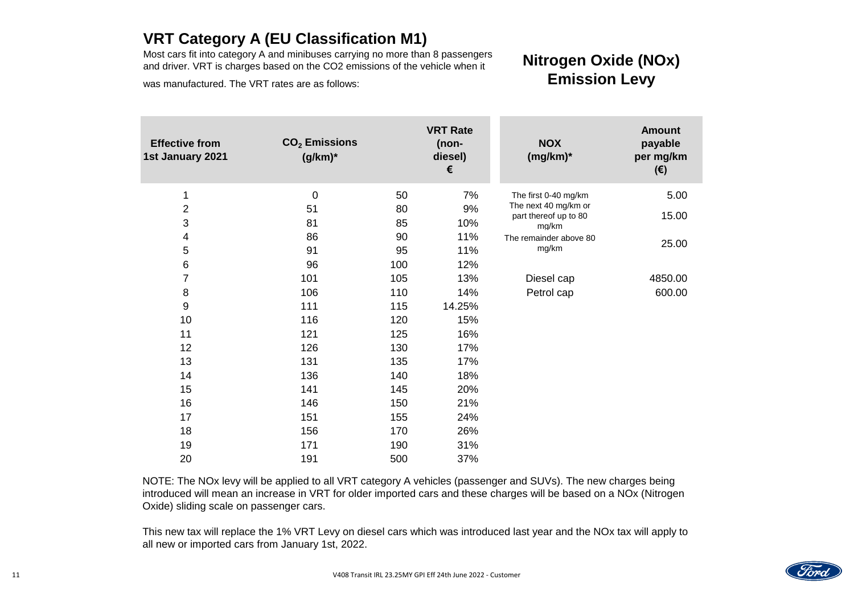NOTE: The NOx levy will be applied to all VRT category A vehicles (passenger and SUVs). The new charges being introduced will mean an increase in VRT for older imported cars and these charges will be based on a NOx (Nitrogen Oxide) sliding scale on passenger cars.

| <b>Effective from</b><br>1st January 2021 | $CO2$ Emissions<br>$(g/km)^*$ |     | <b>VRT Rate</b><br>(non-<br>diesel)<br>€ | <b>NOX</b><br>$(mg/km)^*$      | <b>Amount</b><br>payable<br>per mg/km<br>$(\epsilon)$ |
|-------------------------------------------|-------------------------------|-----|------------------------------------------|--------------------------------|-------------------------------------------------------|
| 1                                         | $\overline{0}$                | 50  | 7%                                       | The first 0-40 mg/km           | 5.00                                                  |
| $\overline{2}$                            | 51                            | 80  | 9%                                       | The next 40 mg/km or           |                                                       |
| 3                                         | 81                            | 85  | 10%                                      | part thereof up to 80<br>mg/km | 15.00                                                 |
| $\overline{4}$                            | 86                            | 90  | 11%                                      | The remainder above 80         |                                                       |
| 5                                         | 91                            | 95  | 11%                                      | mg/km                          | 25.00                                                 |
| $\,6\,$                                   | 96                            | 100 | 12%                                      |                                |                                                       |
| $\overline{7}$                            | 101                           | 105 | 13%                                      | Diesel cap                     | 4850.00                                               |
| $\boldsymbol{8}$                          | 106                           | 110 | 14%                                      | Petrol cap                     | 600.00                                                |
| 9                                         | 111                           | 115 | 14.25%                                   |                                |                                                       |
| 10                                        | 116                           | 120 | 15%                                      |                                |                                                       |
| 11                                        | 121                           | 125 | 16%                                      |                                |                                                       |
| 12                                        | 126                           | 130 | 17%                                      |                                |                                                       |
| 13                                        | 131                           | 135 | 17%                                      |                                |                                                       |
| 14                                        | 136                           | 140 | 18%                                      |                                |                                                       |
| 15                                        | 141                           | 145 | 20%                                      |                                |                                                       |
| 16                                        | 146                           | 150 | 21%                                      |                                |                                                       |
| 17                                        | 151                           | 155 | 24%                                      |                                |                                                       |
| 18                                        | 156                           | 170 | 26%                                      |                                |                                                       |
| 19                                        | 171                           | 190 | 31%                                      |                                |                                                       |
| 20                                        | 191                           | 500 | 37%                                      |                                |                                                       |

This new tax will replace the 1% VRT Levy on diesel cars which was introduced last year and the NOx tax will apply to all new or imported cars from January 1st, 2022.

mg/km 25.00



# **VRT Category A (EU Classification M1)**

Most cars fit into category A and minibuses carrying no more than 8 passengers and driver. VRT is charges based on the CO2 emissions of the vehicle when it

was manufactured. The VRT rates are as follows:

# **Nitrogen Oxide (NOx) Emission Levy**